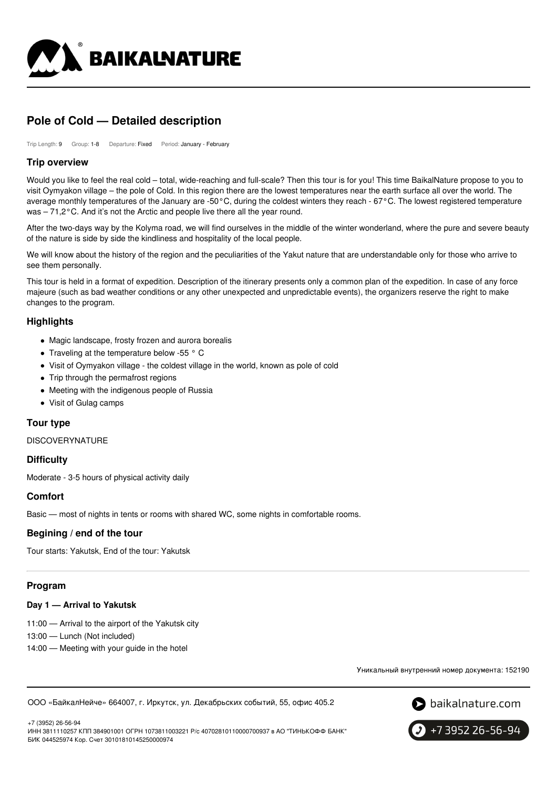

# **Pole of Cold — Detailed description**

Trip Length: 9 Group: 1-8 Departure: Fixed Period: January - February

### **Trip overview**

Would you like to feel the real cold – total, wide-reaching and full-scale? Then this tour is for you! This time BaikalNature propose to you to visit Oymyakon village – the pole of Cold. In this region there are the lowest temperatures near the earth surface all over the world. The average monthly temperatures of the January are -50°C, during the coldest winters they reach - 67°C. The lowest registered temperature was – 71,2°C. And it's not the Arctic and people live there all the year round.

After the two-days way by the Kolyma road, we will find ourselves in the middle of the winter wonderland, where the pure and severe beauty of the nature is side by side the kindliness and hospitality of the local people.

We will know about the history of the region and the peculiarities of the Yakut nature that are understandable only for those who arrive to see them personally.

This tour is held in a format of expedition. Description of the itinerary presents only a common plan of the expedition. In case of any force majeure (such as bad weather conditions or any other unexpected and unpredictable events), the organizers reserve the right to make changes to the program.

# **Highlights**

- Magic landscape, frosty frozen and aurora borealis
- Traveling at the temperature below -55 ° C
- Visit of Oymyakon village the coldest village in the world, known as pole of cold
- Trip through the permafrost regions
- Meeting with the indigenous people of Russia
- Visit of Gulag camps

# **Tour type**

**DISCOVERYNATURE** 

# **Difficulty**

Moderate - 3-5 hours of physical activity daily

# **Comfort**

Basic — most of nights in tents or rooms with shared WC, some nights in comfortable rooms.

# **Begining / end of the tour**

Tour starts: Yakutsk, End of the tour: Yakutsk

# **Program**

#### **Day 1 — Arrival to Yakutsk**

11:00 — Arrival to the airport of the Yakutsk city

13:00 — Lunch (Not included)

14:00 — Meeting with your guide in the hotel

Уникальный внутренний номер документа: 152190

ООО «БайкалНейче» 664007, г. Иркутск, ул. Декабрьских событий, 55, офис 405.2



+7 (3952) 26-56-94 ИНН 3811110257 КПП 384901001 ОГРН 1073811003221 Р/с 40702810110000700937 в АО "ТИНЬКОФФ БАНК" БИК 044525974 Кор. Счет 30101810145250000974

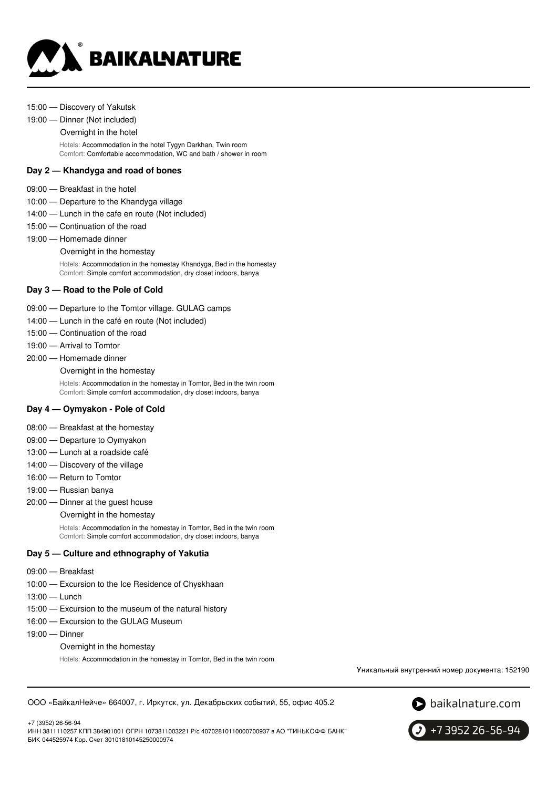

#### 15:00 — Discovery of Yakutsk

### 19:00 — Dinner (Not included)

#### Overnight in the hotel

Hotels: Accommodation in the hotel Tygyn Darkhan, Twin room Comfort: Comfortable accommodation, WC and bath / shower in room

#### **Day 2 — Khandyga and road of bones**

- 09:00 Breakfast in the hotel
- 10:00 Departure to the Khandyga village
- 14:00 Lunch in the cafe en route (Not included)
- 15:00 Continuation of the road

#### 19:00 — Homemade dinner

Overnight in the homestay

Hotels: Accommodation in the homestay Khandyga, Bed in the homestay Comfort: Simple comfort accommodation, dry closet indoors, banya

### **Day 3 — Road to the Pole of Cold**

- 09:00 Departure to the Tomtor village. GULAG camps
- 14:00 Lunch in the café en route (Not included)
- 15:00 Continuation of the road
- 19:00 Arrival to Tomtor
- 20:00 Homemade dinner
	- Overnight in the homestay

Hotels: Accommodation in the homestay in Tomtor, Bed in the twin room Comfort: Simple comfort accommodation, dry closet indoors, banya

#### **Day 4 — Oymyakon - Pole of Cold**

- 08:00 Breakfast at the homestay
- 09:00 Departure to Oymyakon
- 13:00 Lunch at a roadside café
- 14:00 Discovery of the village
- 16:00 Return to Tomtor
- 19:00 Russian banya
- 20:00 Dinner at the guest house

Overnight in the homestay

Hotels: Accommodation in the homestay in Tomtor, Bed in the twin room Comfort: Simple comfort accommodation, dry closet indoors, banya

#### **Day 5 — Culture and ethnography of Yakutia**

- 09:00 Breakfast
- 10:00 Excursion to the Ice Residence of Chyskhaan
- 13:00 Lunch
- 15:00 Excursion to the museum of the natural history
- 16:00 Excursion to the GULAG Museum
- 19:00 Dinner

+7 (3952) 26-56-94

Overnight in the homestay

Hotels: Accommodation in the homestay in Tomtor, Bed in the twin room

Уникальный внутренний номер документа: 152190

ООО «БайкалНейче» 664007, г. Иркутск, ул. Декабрьских событий, 55, офис 405.2





ИНН 3811110257 КПП 384901001 ОГРН 1073811003221 Р/с 40702810110000700937 в АО "ТИНЬКОФФ БАНК" БИК 044525974 Кор. Счет 30101810145250000974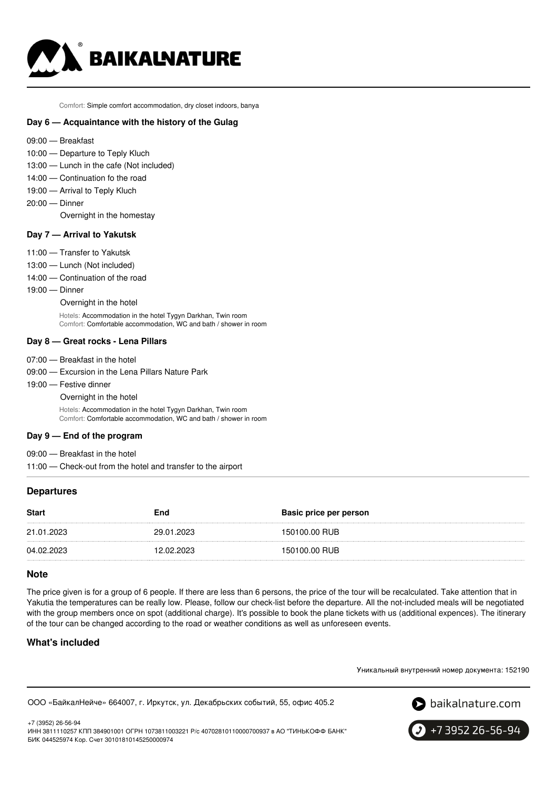

Comfort: Simple comfort accommodation, dry closet indoors, banya

### **Day 6 — Acquaintance with the history of the Gulag**

- 09:00 Breakfast
- 10:00 Departure to Teply Kluch
- 13:00 Lunch in the cafe (Not included)
- 14:00 Continuation fo the road
- 19:00 Arrival to Teply Kluch
- 20:00 Dinner

Overnight in the homestay

#### **Day 7 — Arrival to Yakutsk**

- 11:00 Transfer to Yakutsk
- 13:00 Lunch (Not included)
- 14:00 Continuation of the road
- 19:00 Dinner
	- Overnight in the hotel

Hotels: Accommodation in the hotel Tygyn Darkhan, Twin room Comfort: Comfortable accommodation, WC and bath / shower in room

#### **Day 8 — Great rocks - Lena Pillars**

- 07:00 Breakfast in the hotel
- 09:00 Excursion in the Lena Pillars Nature Park
- 19:00 Festive dinner
	- Overnight in the hotel

Hotels: Accommodation in the hotel Tygyn Darkhan, Twin room Comfort: Comfortable accommodation, WC and bath / shower in room

### **Day 9 — End of the program**

09:00 — Breakfast in the hotel

11:00 — Check-out from the hotel and transfer to the airport

### **Departures**

| <b>Start</b> | End        | <b>Basic price per person</b> |
|--------------|------------|-------------------------------|
| 21.01.2023   | 29.01.2023 | 150100.00 RUB                 |
| 04.02.2023   | 12.02.2023 | 150100.00 RUB                 |

### **Note**

The price given is for a group of 6 people. If there are less than 6 persons, the price of the tour will be recalculated. Take attention that in Yakutia the temperatures can be really low. Please, follow our check-list before the departure. All the not-included meals will be negotiated with the group members once on spot (additional charge). It's possible to book the plane tickets with us (additional expences). The itinerary of the tour can be changed according to the road or weather conditions as well as unforeseen events.

# **What's included**

Уникальный внутренний номер документа: 152190





+7 (3952) 26-56-94 ИНН 3811110257 КПП 384901001 ОГРН 1073811003221 Р/с 40702810110000700937 в АО "ТИНЬКОФФ БАНК" БИК 044525974 Кор. Счет 30101810145250000974

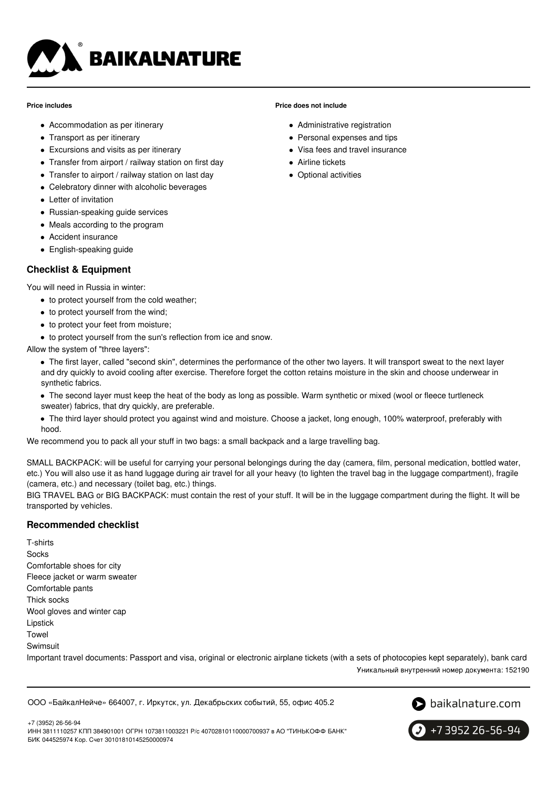

#### **Price includes**

- Accommodation as per itinerary
- Transport as per itinerary
- Excursions and visits as per itinerary
- Transfer from airport / railway station on first day
- Transfer to airport / railway station on last day
- Celebratory dinner with alcoholic beverages
- Letter of invitation
- Russian-speaking quide services
- Meals according to the program
- Accident insurance
- English-speaking guide

# **Checklist & Equipment**

You will need in Russia in winter:

- to protect yourself from the cold weather:
- to protect yourself from the wind;
- to protect your feet from moisture;
- $\bullet$  to protect yourself from the sun's reflection from ice and snow.

Allow the system of "three layers":

- The first layer, called "second skin", determines the performance of the other two layers. It will transport sweat to the next layer and dry quickly to avoid cooling after exercise. Therefore forget the cotton retains moisture in the skin and choose underwear in synthetic fabrics.
- The second layer must keep the heat of the body as long as possible. Warm synthetic or mixed (wool or fleece turtleneck sweater) fabrics, that dry quickly, are preferable.
- The third layer should protect you against wind and moisture. Choose a jacket, long enough, 100% waterproof, preferably with hood.

We recommend you to pack all your stuff in two bags: a small backpack and a large travelling bag.

SMALL BACKPACK: will be useful for carrying your personal belongings during the day (camera, film, personal medication, bottled water, etc.) You will also use it as hand luggage during air travel for all your heavy (to lighten the travel bag in the luggage compartment), fragile (camera, etc.) and necessary (toilet bag, etc.) things.

BIG TRAVEL BAG or BIG BACKPACK: must contain the rest of your stuff. It will be in the luggage compartment during the flight. It will be transported by vehicles.

# **Recommended checklist**

T-shirts **Socks** Comfortable shoes for city Fleece jacket or warm sweater Comfortable pants Thick socks Wool gloves and winter cap Lipstick Towel **Swimsuit** Important travel documents: Passport and visa, original or electronic airplane tickets (with a sets of photocopies kept separately), bank card Уникальный внутренний номер документа: 152190

ООО «БайкалНейче» 664007, г. Иркутск, ул. Декабрьских событий, 55, офис 405.2



+7 3952 26-56-94

+7 (3952) 26-56-94 ИНН 3811110257 КПП 384901001 ОГРН 1073811003221 Р/с 40702810110000700937 в АО "ТИНЬКОФФ БАНК" БИК 044525974 Кор. Счет 30101810145250000974

### **Price does not include**

- Administrative registration
- Personal expenses and tips
- Visa fees and travel insurance
- Airline tickets
- Optional activities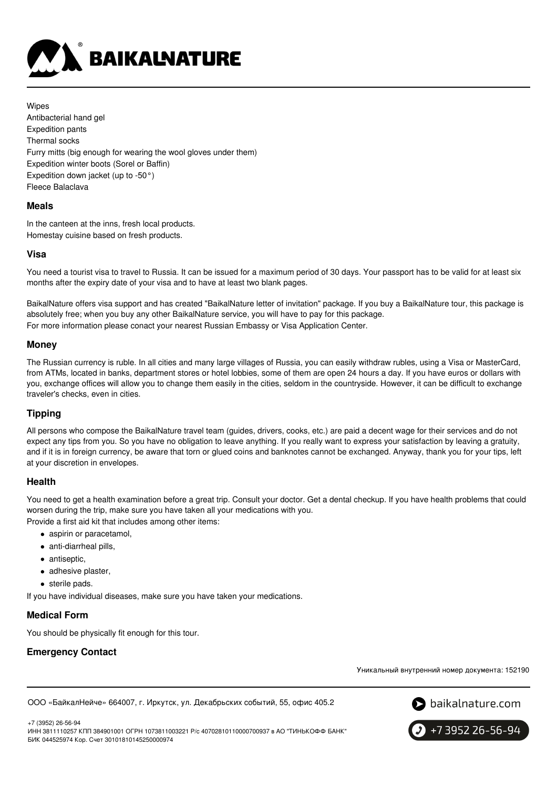

Wipes Antibacterial hand gel Expedition pants Thermal socks Furry mitts (big enough for wearing the wool gloves under them) Expedition winter boots (Sorel or Baffin) Expedition down jacket (up to -50°) Fleece Balaclava

### **Meals**

In the canteen at the inns, fresh local products. Homestay cuisine based on fresh products.

### **Visa**

You need a tourist visa to travel to Russia. It can be issued for a maximum period of 30 days. Your passport has to be valid for at least six months after the expiry date of your visa and to have at least two blank pages.

BaikalNature offers visa support and has created "BaikalNature letter of invitation" package. If you buy a BaikalNature tour, this package is absolutely free; when you buy any other BaikalNature service, you will have to pay for this package. For more information please conact your nearest Russian Embassy or Visa Application Center.

### **Money**

The Russian currency is ruble. In all cities and many large villages of Russia, you can easily withdraw rubles, using a Visa or MasterCard, from ATMs, located in banks, department stores or hotel lobbies, some of them are open 24 hours a day. If you have euros or dollars with you, exchange offices will allow you to change them easily in the cities, seldom in the countryside. However, it can be difficult to exchange traveler's checks, even in cities.

# **Tipping**

All persons who compose the BaikalNature travel team (guides, drivers, cooks, etc.) are paid a decent wage for their services and do not expect any tips from you. So you have no obligation to leave anything. If you really want to express your satisfaction by leaving a gratuity, and if it is in foreign currency, be aware that torn or glued coins and banknotes cannot be exchanged. Anyway, thank you for your tips, left at your discretion in envelopes.

# **Health**

You need to get a health examination before a great trip. Consult your doctor. Get a dental checkup. If you have health problems that could worsen during the trip, make sure you have taken all your medications with you. Provide a first aid kit that includes among other items:

- aspirin or paracetamol,
- anti-diarrheal pills,
- antiseptic,
- adhesive plaster,
- **•** sterile pads.

If you have individual diseases, make sure you have taken your medications.

# **Medical Form**

You should be physically fit enough for this tour.

# **Emergency Contact**

Уникальный внутренний номер документа: 152190

ООО «БайкалНейче» 664007, г. Иркутск, ул. Декабрьских событий, 55, офис 405.2



+7 (3952) 26-56-94 ИНН 3811110257 КПП 384901001 ОГРН 1073811003221 Р/с 40702810110000700937 в АО "ТИНЬКОФФ БАНК" БИК 044525974 Кор. Счет 30101810145250000974